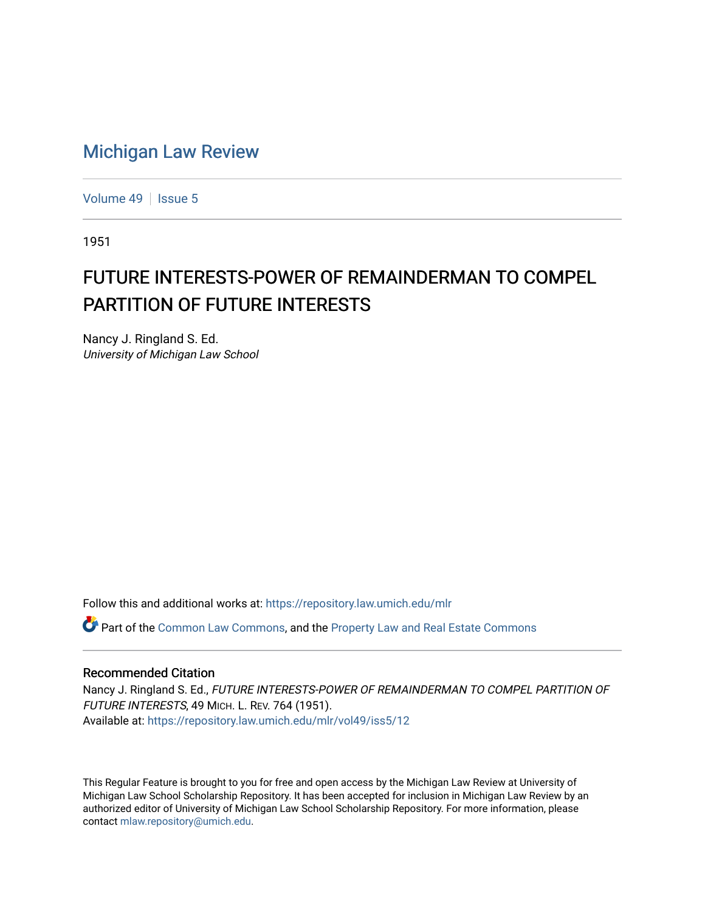## [Michigan Law Review](https://repository.law.umich.edu/mlr)

[Volume 49](https://repository.law.umich.edu/mlr/vol49) | [Issue 5](https://repository.law.umich.edu/mlr/vol49/iss5)

1951

## FUTURE INTERESTS-POWER OF REMAINDERMAN TO COMPEL PARTITION OF FUTURE INTERESTS

Nancy J. Ringland S. Ed. University of Michigan Law School

Follow this and additional works at: [https://repository.law.umich.edu/mlr](https://repository.law.umich.edu/mlr?utm_source=repository.law.umich.edu%2Fmlr%2Fvol49%2Fiss5%2F12&utm_medium=PDF&utm_campaign=PDFCoverPages) 

Part of the [Common Law Commons,](http://network.bepress.com/hgg/discipline/1120?utm_source=repository.law.umich.edu%2Fmlr%2Fvol49%2Fiss5%2F12&utm_medium=PDF&utm_campaign=PDFCoverPages) and the [Property Law and Real Estate Commons](http://network.bepress.com/hgg/discipline/897?utm_source=repository.law.umich.edu%2Fmlr%2Fvol49%2Fiss5%2F12&utm_medium=PDF&utm_campaign=PDFCoverPages)

## Recommended Citation

Nancy J. Ringland S. Ed., FUTURE INTERESTS-POWER OF REMAINDERMAN TO COMPEL PARTITION OF FUTURE INTERESTS, 49 MICH. L. REV. 764 (1951). Available at: [https://repository.law.umich.edu/mlr/vol49/iss5/12](https://repository.law.umich.edu/mlr/vol49/iss5/12?utm_source=repository.law.umich.edu%2Fmlr%2Fvol49%2Fiss5%2F12&utm_medium=PDF&utm_campaign=PDFCoverPages) 

This Regular Feature is brought to you for free and open access by the Michigan Law Review at University of Michigan Law School Scholarship Repository. It has been accepted for inclusion in Michigan Law Review by an authorized editor of University of Michigan Law School Scholarship Repository. For more information, please contact [mlaw.repository@umich.edu](mailto:mlaw.repository@umich.edu).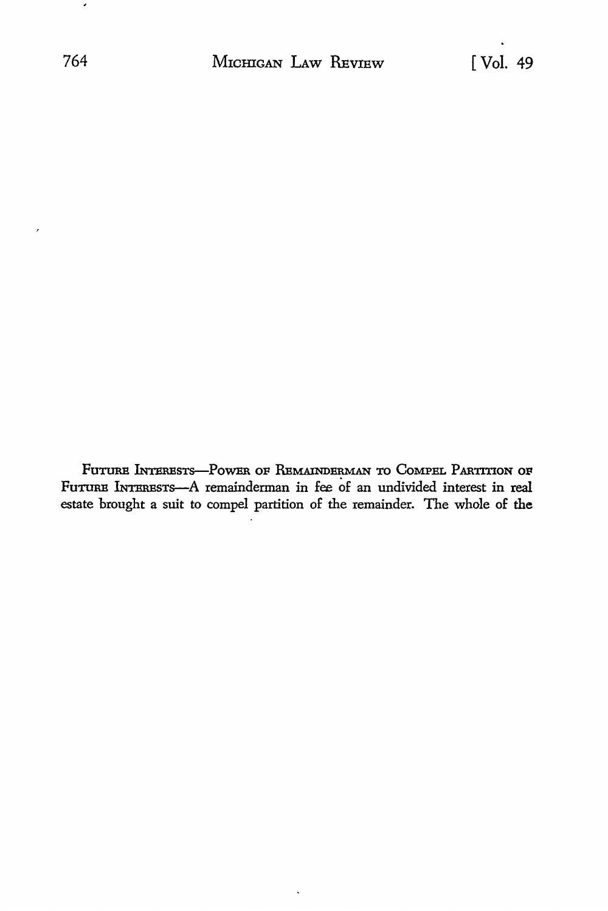FUTURE INTERESTS-POWER OF REMAINDERMAN TO COMPEL PARTITION OF Furura INTERESTS-A remainderman in fee of an undivided interest in real estate brought a suit to compel partition of the remainder. The whole of the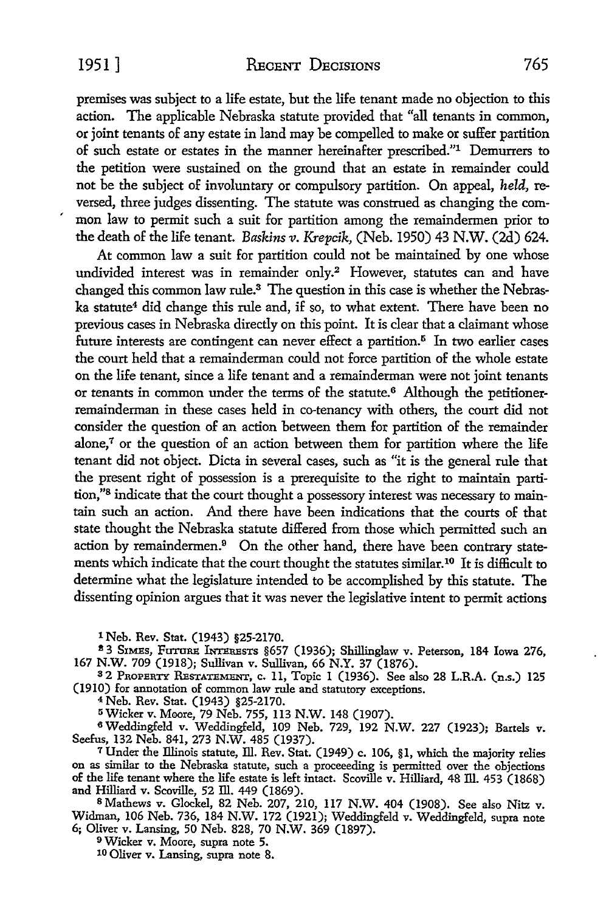premises was subject to a life estate, but the life tenant made no objection to this action. The applicable Nebraska statute provided that "all tenants in common, or joint tenants of any estate in land may be compelled to make or suffer partition of such estate or estates in the manner hereinafter prescribed."1 Demurrers to the petition were sustained on the ground that an estate in remainder could not be the subject of involuntary or compulsory partition. On appeal, *held,* reversed, three judges dissenting. The statute was construed as changing the com mon law to permit such a suit for partition among the remaindermen prior to the death of the life tenant. *Baskins v. Krepcik,* (Neb. 1950) 43 **N.W.** (2d) 624.

At common law a suit for partition could not be maintained by one whose undivided interest was in remainder only.<sup>2</sup> However, statutes can and have changed this common law rule.3 The question in this case is whether the Nebraska statute<sup>4</sup> did change this rule and, if so, to what extent. There have been no previous cases in Nebraska directly on this point. It is clear that a claimant whose future interests are contingent can never effect a partition.<sup>5</sup> In two earlier cases the court held that a remainderman could not force partition of the whole estate on the life tenant, since a life tenant and a remainderman were not joint tenants or tenants in common under the terms of the statute.<sup>6</sup> Although the petitionerremainderman in these cases held in co-tenancy with others, the court did not consider the question of an action between them for partition of the remainder alone, $7$  or the question of an action between them for partition where the life tenant did not object. Dicta in several cases, such as "it is the general rule that the present right of possession is a prerequisite to the right to maintain partition,"8 indicate that the court thought a possessory interest was necessary to maintain such an action. And there have been indications that the courts of that state thought the Nebraska statute differed from those which permitted such an action by remaindermen.<sup>9</sup> On the other hand, there have been contrary statements which indicate that the court thought the statutes similar.10 It is difficult to determine what the legislature intended to be accomplished by this statute. The dissenting opinion argues that it was never the legislative intent to permit actions

1 Neb. Rev. Stat. (1943) §25-2170.<br>
<sup>2</sup> 3 SIMES, FUTURE INTERESTS §657 (1936); Shillinglaw v. Peterson, 184 Iowa 276, 167 N.W. 709 (1918); Sullivan v. Sullivan, 66 N.Y. 37 (1876). 167 N.W. 709 (1918); Sullivan v. Sullivan, 66 N.Y. 37 (1876). 3 2 PnoPERTY RESTATEMENT, c. 11, Topic 1 (1936). See also 28 L.R.A. (n.s.) 125

(1910) for annotation of common law rule and statutory exceptions.

4 Neb. Rev. Stat. (1943) §25-2170.

<sup>0</sup> Wicker v. Moore, 79 Neb. 755, 113 N.W. 148 (1907).

6 Weddingfeld v. Weddingfeld, 109 Neb. 729, 192 N.W. 227 (1923); Bartels v. Seefus, 132 Neb. 841, 273 N.W. 485 (1937).

<sup>7</sup>Under the Illinois statute, Ill. Rev. Stat. (1949) c. 106, §1, which the majority relies on as similar to the Nebraska statute, such a proceeeding is permitted over the objections of the life tenant where the life estate is left intact. Scoville v. Hilliard, 48 Ill. 453 (1868) and Hilliard v. Scoville, 52 Ill. 449 (1869).

<sup>8</sup>Mathews v. Glockel, 82 Neb. 207, 210, 117 N.W. 404 (1908). See also Nitz v. Widman, 106 Neb. 736, 184 N.W. 172 (1921); Weddingfeld v. Weddingfeld, supra note 6; Oliver v. Lansing, 50 Neb. 828, 70 N.W. 369 (1897).

<sup>9</sup>Wicker v. Moore, supra note 5.

10 Oliver v. Lansing, supra note 8.